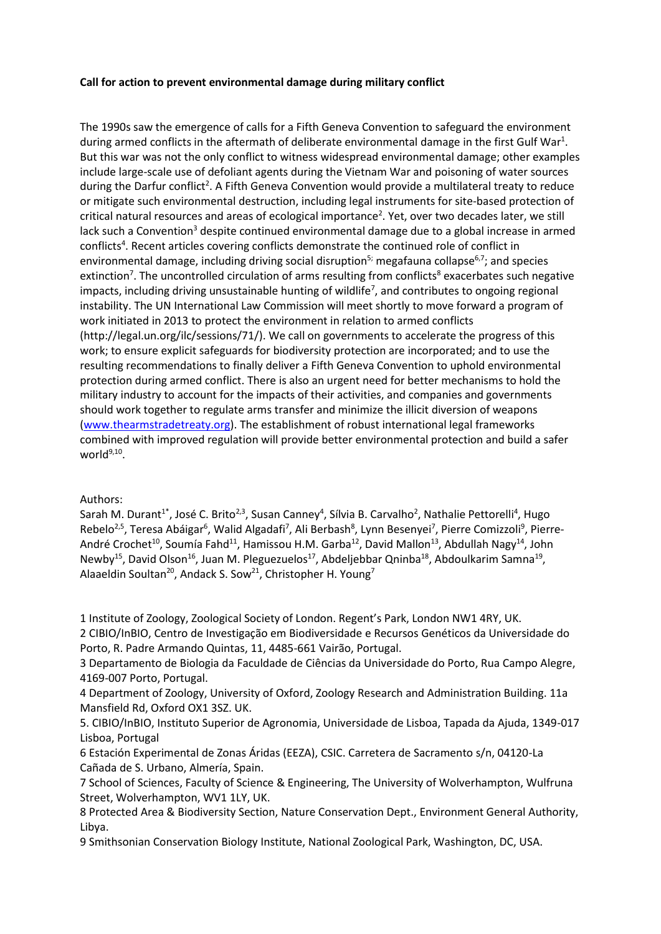## **Call for action to prevent environmental damage during military conflict**

The 1990s saw the emergence of calls for a Fifth Geneva Convention to safeguard the environment during armed conflicts in the aftermath of deliberate environmental damage in the first Gulf War<sup>1</sup>. But this war was not the only conflict to witness widespread environmental damage; other examples include large-scale use of defoliant agents during the Vietnam War and poisoning of water sources during the Darfur conflict<sup>2</sup>. A Fifth Geneva Convention would provide a multilateral treaty to reduce or mitigate such environmental destruction, including legal instruments for site-based protection of critical natural resources and areas of ecological importance<sup>2</sup>. Yet, over two decades later, we still lack such a Convention<sup>3</sup> despite continued environmental damage due to a global increase in armed conflicts<sup>4</sup>. Recent articles covering conflicts demonstrate the continued role of conflict in environmental damage, including driving social disruption<sup>5;</sup> megafauna collapse<sup>6,7</sup>; and species extinction<sup>7</sup>. The uncontrolled circulation of arms resulting from conflicts<sup>8</sup> exacerbates such negative impacts, including driving unsustainable hunting of wildlife<sup>7</sup>, and contributes to ongoing regional instability. The UN International Law Commission will meet shortly to move forward a program of work initiated in 2013 to protect the environment in relation to armed conflicts (http://legal.un.org/ilc/sessions/71/). We call on governments to accelerate the progress of this work; to ensure explicit safeguards for biodiversity protection are incorporated; and to use the resulting recommendations to finally deliver a Fifth Geneva Convention to uphold environmental protection during armed conflict. There is also an urgent need for better mechanisms to hold the military industry to account for the impacts of their activities, and companies and governments should work together to regulate arms transfer and minimize the illicit diversion of weapons [\(www.thearmstradetreaty.org\)](http://www.thearmstradetreaty.org/). The establishment of robust international legal frameworks combined with improved regulation will provide better environmental protection and build a safer world<sup>9,10</sup>.

## Authors:

Sarah M. Durant<sup>1\*</sup>, José C. Brito<sup>2,3</sup>, Susan Canney<sup>4</sup>, Sílvia B. Carvalho<sup>2</sup>, Nathalie Pettorelli<sup>4</sup>, Hugo Rebelo<sup>2,5</sup>, Teresa Abáigar<sup>6</sup>, Walid Algadafi<sup>7</sup>, Ali Berbash<sup>8</sup>, Lynn Besenyei<sup>7</sup>, Pierre Comizzoli<sup>9</sup>, Pierre-André Crochet<sup>10</sup>, Soumía Fahd<sup>11</sup>, Hamissou H.M. Garba<sup>12</sup>, David Mallon<sup>13</sup>, Abdullah Nagy<sup>14</sup>, John Newby<sup>15</sup>, David Olson<sup>16</sup>, Juan M. Pleguezuelos<sup>17</sup>, Abdeljebbar Qninba<sup>18</sup>, Abdoulkarim Samna<sup>19</sup>, Alaaeldin Soultan<sup>20</sup>, Andack S. Sow<sup>21</sup>, Christopher H. Young<sup>7</sup>

1 Institute of Zoology, Zoological Society of London. Regent's Park, London NW1 4RY, UK. 2 CIBIO/InBIO, Centro de Investigação em Biodiversidade e Recursos Genéticos da Universidade do

Porto, R. Padre Armando Quintas, 11, 4485-661 Vairão, Portugal.

3 Departamento de Biologia da Faculdade de Ciências da Universidade do Porto, Rua Campo Alegre, 4169-007 Porto, Portugal.

4 Department of Zoology, University of Oxford, Zoology Research and Administration Building. 11a Mansfield Rd, Oxford OX1 3SZ. UK.

5. CIBIO/InBIO, Instituto Superior de Agronomia, Universidade de Lisboa, Tapada da Ajuda, 1349-017 Lisboa, Portugal

6 Estación Experimental de Zonas Áridas (EEZA), CSIC. Carretera de Sacramento s/n, 04120-La Cañada de S. Urbano, Almería, Spain.

7 School of Sciences, Faculty of Science & Engineering, The University of Wolverhampton, Wulfruna Street, Wolverhampton, WV1 1LY, UK.

8 Protected Area & Biodiversity Section, Nature Conservation Dept., Environment General Authority, Libya.

9 Smithsonian Conservation Biology Institute, National Zoological Park, Washington, DC, USA.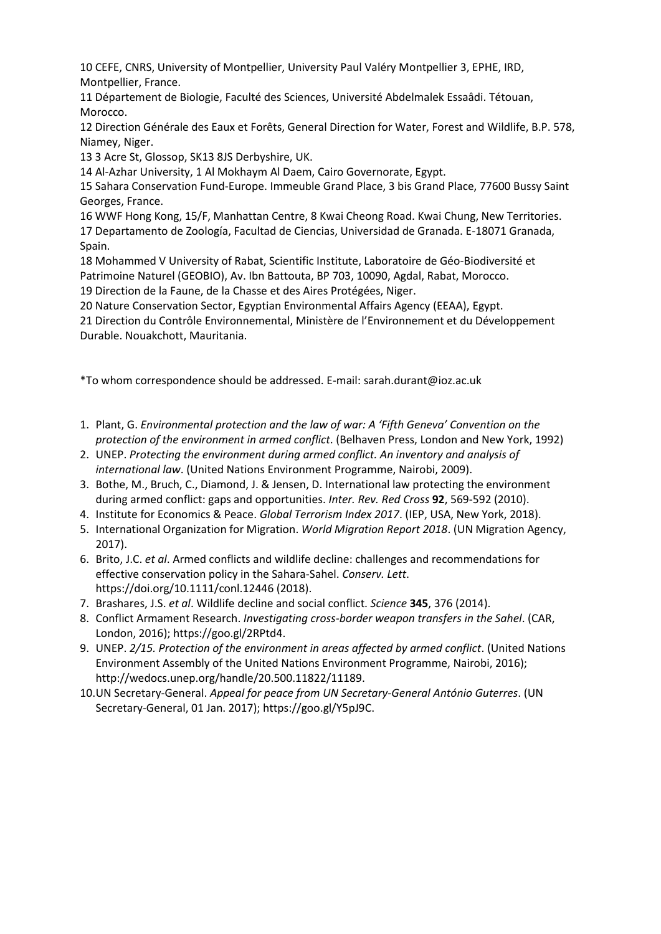10 CEFE, CNRS, University of Montpellier, University Paul Valéry Montpellier 3, EPHE, IRD, Montpellier, France.

11 Département de Biologie, Faculté des Sciences, Université Abdelmalek Essaâdi. Tétouan, Morocco.

12 Direction Générale des Eaux et Forêts, General Direction for Water, Forest and Wildlife, B.P. 578, Niamey, Niger.

13 3 Acre St, Glossop, SK13 8JS Derbyshire, UK.

14 Al-Azhar University, 1 Al Mokhaym Al Daem, Cairo Governorate, Egypt.

15 Sahara Conservation Fund-Europe. Immeuble Grand Place, 3 bis Grand Place, 77600 Bussy Saint Georges, France.

16 WWF Hong Kong, 15/F, Manhattan Centre, 8 Kwai Cheong Road. Kwai Chung, New Territories. 17 Departamento de Zoología, Facultad de Ciencias, Universidad de Granada. E-18071 Granada, Spain.

18 Mohammed V University of Rabat, Scientific Institute, Laboratoire de Géo-Biodiversité et Patrimoine Naturel (GEOBIO), Av. Ibn Battouta, BP 703, 10090, Agdal, Rabat, Morocco.

19 Direction de la Faune, de la Chasse et des Aires Protégées, Niger.

20 Nature Conservation Sector, Egyptian Environmental Affairs Agency (EEAA), Egypt.

| 21 Direction du Contrôle Environnemental, Ministère de l'Environnement et du Développement |
|--------------------------------------------------------------------------------------------|
| Durable. Nouakchott, Mauritania.                                                           |

\*To whom correspondence should be addressed. E-mail: sarah.durant@ioz.ac.uk

- 1. Plant, G. *Environmental protection and the law of war: A 'Fifth Geneva' Convention on the protection of the environment in armed conflict*. (Belhaven Press, London and New York, 1992)
- 2. UNEP. *Protecting the environment during armed conflict. An inventory and analysis of international law*. (United Nations Environment Programme, Nairobi, 2009).
- 3. Bothe, M., Bruch, C., Diamond, J. & Jensen, D. International law protecting the environment during armed conflict: gaps and opportunities. *Inter. Rev. Red Cross* **92**, 569-592 (2010).
- 4. Institute for Economics & Peace. *Global Terrorism Index 2017*. (IEP, USA, New York, 2018).
- 5. International Organization for Migration. *World Migration Report 2018*. (UN Migration Agency, 2017).
- 6. Brito, J.C. *et al*. Armed conflicts and wildlife decline: challenges and recommendations for effective conservation policy in the Sahara-Sahel. *Conserv. Lett*. https://doi.org/10.1111/conl.12446 (2018).
- 7. Brashares, J.S. *et al*. Wildlife decline and social conflict. *Science* **345**, 376 (2014).
- 8. Conflict Armament Research. *Investigating cross-border weapon transfers in the Sahel*. (CAR, London, 2016); https://goo.gl/2RPtd4.
- 9. UNEP. *2/15. Protection of the environment in areas affected by armed conflict*. (United Nations Environment Assembly of the United Nations Environment Programme, Nairobi, 2016); http://wedocs.unep.org/handle/20.500.11822/11189.
- 10.UN Secretary-General. *Appeal for peace from UN Secretary-General António Guterres*. (UN Secretary-General, 01 Jan. 2017); https://goo.gl/Y5pJ9C.